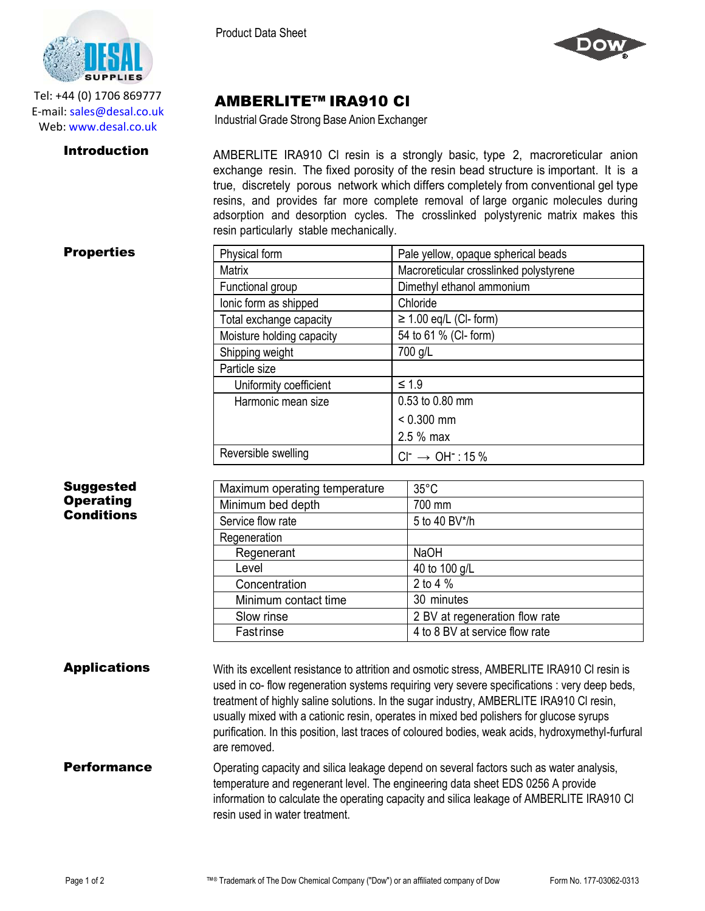

Tel: +44 (0) 1706 869777 E‐mail: sales@desal.co.uk Web: www.desal.co.uk

Product Data Sheet



# AMBERLITE™ IRA910 Cl

Industrial Grade Strong Base Anion Exchanger

**Introduction** AMBERLITE IRA910 CI resin is a strongly basic, type 2, macroreticular anion exchange resin. The fixed porosity of the resin bead structure is important. It is a true, discretely porous network which differs completely from conventional gel type resins, and provides far more complete removal of large organic molecules during adsorption and desorption cycles. The crosslinked polystyrenic matrix makes this resin particularly stable mechanically.

Matrix Macroreticular crosslinked polystyrene

### **Properties** Physical form Physical Form Pale yellow, opaque spherical beads

| Suggested        |
|------------------|
| <b>Operating</b> |
| Conditions       |

| Functional group              | Dimethyl ethanol ammonium |                                |  |  |
|-------------------------------|---------------------------|--------------------------------|--|--|
| lonic form as shipped         |                           | Chloride                       |  |  |
| Total exchange capacity       |                           | $\geq$ 1.00 eq/L (CI- form)    |  |  |
| Moisture holding capacity     |                           | 54 to 61 % (CI- form)          |  |  |
| Shipping weight               |                           | 700 g/L                        |  |  |
| Particle size                 |                           |                                |  |  |
| Uniformity coefficient        |                           | $\leq 1.9$                     |  |  |
| Harmonic mean size            | 0.53 to 0.80 mm           |                                |  |  |
|                               | $< 0.300$ mm              |                                |  |  |
|                               |                           | 2.5 % max                      |  |  |
| Reversible swelling           |                           | $Cl^- \rightarrow OH^-$ : 15 % |  |  |
|                               |                           |                                |  |  |
| Maximum operating temperature |                           | $35^{\circ}$ C                 |  |  |
| Minimum bed depth             |                           | 700 mm                         |  |  |
| .                             |                           | <b>FI-10 DV</b> H-11-          |  |  |

| Minimum bed depth    | 700 mm                         |
|----------------------|--------------------------------|
| Service flow rate    | 5 to 40 BV*/h                  |
| Regeneration         |                                |
| Regenerant           | <b>NaOH</b>                    |
| Level                | 40 to 100 g/L                  |
| Concentration        | 2 to 4 %                       |
| Minimum contact time | 30 minutes                     |
| Slow rinse           | 2 BV at regeneration flow rate |
| Fastrinse            | 4 to 8 BV at service flow rate |
|                      |                                |

Applications With its excellent resistance to attrition and osmotic stress, AMBERLITE IRA910 CI resin is used in co- flow regeneration systems requiring very severe specifications : very deep beds, treatment of highly saline solutions. In the sugar industry, AMBERLITE IRA910 Cl resin, usually mixed with a cationic resin, operates in mixed bed polishers for glucose syrups purification. In this position, last traces of coloured bodies, weak acids, hydroxymethyl-furfural are removed.

## **Performance** Operating capacity and silica leakage depend on several factors such as water analysis, temperature and regenerant level. The engineering data sheet EDS 0256 A provide information to calculate the operating capacity and silica leakage of AMBERLITE IRA910 Cl resin used in water treatment.